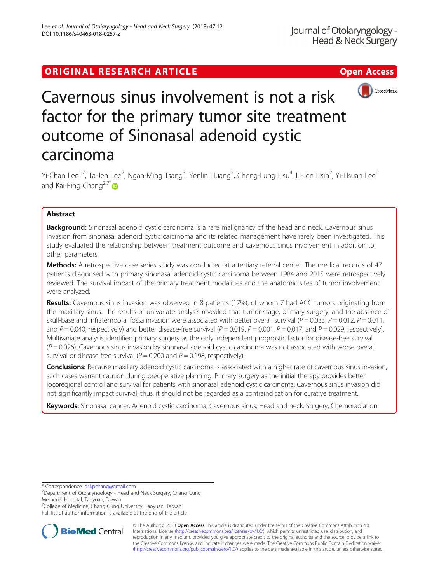# ORIGINAL RESEARCH ARTICLE **External of the Contract Contract Contract Contract Contract Contract Contract Contract Contract Contract Contract Contract Contract Contract Contract Contract Contract Contract Contract Contract**



# Cavernous sinus involvement is not a risk factor for the primary tumor site treatment outcome of Sinonasal adenoid cystic carcinoma

Yi-Chan Lee<sup>1,7</sup>, Ta-Jen Lee<sup>2</sup>, Ngan-Ming Tsang<sup>3</sup>, Yenlin Huang<sup>5</sup>, Cheng-Lung Hsu<sup>4</sup>, Li-Jen Hsin<sup>2</sup>, Yi-Hsuan Lee<sup>6</sup> and Kai-Ping Chang<sup>2,7\*</sup>

## Abstract

**Background:** Sinonasal adenoid cystic carcinoma is a rare malignancy of the head and neck. Cavernous sinus invasion from sinonasal adenoid cystic carcinoma and its related management have rarely been investigated. This study evaluated the relationship between treatment outcome and cavernous sinus involvement in addition to other parameters.

Methods: A retrospective case series study was conducted at a tertiary referral center. The medical records of 47 patients diagnosed with primary sinonasal adenoid cystic carcinoma between 1984 and 2015 were retrospectively reviewed. The survival impact of the primary treatment modalities and the anatomic sites of tumor involvement were analyzed.

Results: Cavernous sinus invasion was observed in 8 patients (17%), of whom 7 had ACC tumors originating from the maxillary sinus. The results of univariate analysis revealed that tumor stage, primary surgery, and the absence of skull-base and infratemporal fossa invasion were associated with better overall survival ( $P = 0.033$ ,  $P = 0.012$ ,  $P = 0.011$ , and  $P = 0.040$ , respectively) and better disease-free survival ( $P = 0.019$ ,  $P = 0.001$ ,  $P = 0.017$ , and  $P = 0.029$ , respectively). Multivariate analysis identified primary surgery as the only independent prognostic factor for disease-free survival  $(P = 0.026)$ . Cavernous sinus invasion by sinonasal adenoid cystic carcinoma was not associated with worse overall survival or disease-free survival ( $P = 0.200$  and  $P = 0.198$ , respectively).

**Conclusions:** Because maxillary adenoid cystic carcinoma is associated with a higher rate of cavernous sinus invasion, such cases warrant caution during preoperative planning. Primary surgery as the initial therapy provides better locoregional control and survival for patients with sinonasal adenoid cystic carcinoma. Cavernous sinus invasion did not significantly impact survival; thus, it should not be regarded as a contraindication for curative treatment.

Keywords: Sinonasal cancer, Adenoid cystic carcinoma, Cavernous sinus, Head and neck, Surgery, Chemoradiation

\* Correspondence: [dr.kpchang@gmail.com](mailto:dr.kpchang@gmail.com) <sup>2</sup>

<sup>7</sup>College of Medicine, Chang Gung University, Taoyuan, Taiwan

Full list of author information is available at the end of the article



© The Author(s). 2018 Open Access This article is distributed under the terms of the Creative Commons Attribution 4.0 International License [\(http://creativecommons.org/licenses/by/4.0/](http://creativecommons.org/licenses/by/4.0/)), which permits unrestricted use, distribution, and reproduction in any medium, provided you give appropriate credit to the original author(s) and the source, provide a link to the Creative Commons license, and indicate if changes were made. The Creative Commons Public Domain Dedication waiver [\(http://creativecommons.org/publicdomain/zero/1.0/](http://creativecommons.org/publicdomain/zero/1.0/)) applies to the data made available in this article, unless otherwise stated.

<sup>&</sup>lt;sup>2</sup>Department of Otolaryngology - Head and Neck Surgery, Chang Gung Memorial Hospital, Taoyuan, Taiwan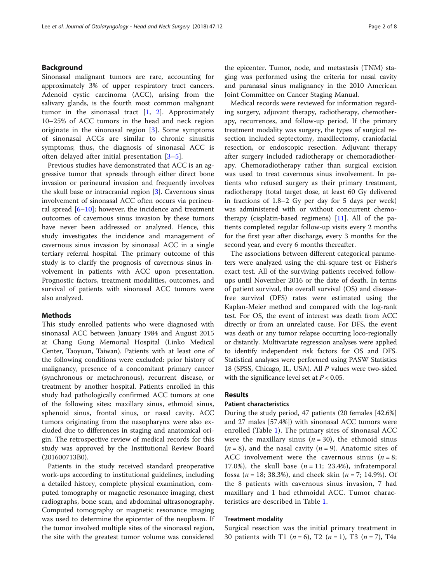## Background

Sinonasal malignant tumors are rare, accounting for approximately 3% of upper respiratory tract cancers. Adenoid cystic carcinoma (ACC), arising from the salivary glands, is the fourth most common malignant tumor in the sinonasal tract  $[1, 2]$  $[1, 2]$  $[1, 2]$  $[1, 2]$ . Approximately 10–25% of ACC tumors in the head and neck region originate in the sinonasal region [\[3](#page-6-0)]. Some symptoms of sinonasal ACCs are similar to chronic sinusitis symptoms; thus, the diagnosis of sinonasal ACC is often delayed after initial presentation [[3](#page-6-0)–[5\]](#page-6-0).

Previous studies have demonstrated that ACC is an aggressive tumor that spreads through either direct bone invasion or perineural invasion and frequently involves the skull base or intracranial region [[3\]](#page-6-0). Cavernous sinus involvement of sinonasal ACC often occurs via perineural spread  $[6–10]$  $[6–10]$  $[6–10]$ ; however, the incidence and treatment outcomes of cavernous sinus invasion by these tumors have never been addressed or analyzed. Hence, this study investigates the incidence and management of cavernous sinus invasion by sinonasal ACC in a single tertiary referral hospital. The primary outcome of this study is to clarify the prognosis of cavernous sinus involvement in patients with ACC upon presentation. Prognostic factors, treatment modalities, outcomes, and survival of patients with sinonasal ACC tumors were also analyzed.

## **Methods**

This study enrolled patients who were diagnosed with sinonasal ACC between January 1984 and August 2015 at Chang Gung Memorial Hospital (Linko Medical Center, Taoyuan, Taiwan). Patients with at least one of the following conditions were excluded: prior history of malignancy, presence of a concomitant primary cancer (synchronous or metachronous), recurrent disease, or treatment by another hospital. Patients enrolled in this study had pathologically confirmed ACC tumors at one of the following sites: maxillary sinus, ethmoid sinus, sphenoid sinus, frontal sinus, or nasal cavity. ACC tumors originating from the nasopharynx were also excluded due to differences in staging and anatomical origin. The retrospective review of medical records for this study was approved by the Institutional Review Board (201600713B0).

Patients in the study received standard preoperative work-ups according to institutional guidelines, including a detailed history, complete physical examination, computed tomography or magnetic resonance imaging, chest radiographs, bone scan, and abdominal ultrasonography. Computed tomography or magnetic resonance imaging was used to determine the epicenter of the neoplasm. If the tumor involved multiple sites of the sinonasal region, the site with the greatest tumor volume was considered

the epicenter. Tumor, node, and metastasis (TNM) staging was performed using the criteria for nasal cavity and paranasal sinus malignancy in the 2010 American Joint Committee on Cancer Staging Manual.

Medical records were reviewed for information regarding surgery, adjuvant therapy, radiotherapy, chemotherapy, recurrences, and follow-up period. If the primary treatment modality was surgery, the types of surgical resection included septectomy, maxillectomy, craniofacial resection, or endoscopic resection. Adjuvant therapy after surgery included radiotherapy or chemoradiotherapy. Chemoradiotherapy rather than surgical excision was used to treat cavernous sinus involvement. In patients who refused surgery as their primary treatment, radiotherapy (total target dose, at least 60 Gy delivered in fractions of 1.8–2 Gy per day for 5 days per week) was administered with or without concurrent chemotherapy (cisplatin-based regimens)  $[11]$  $[11]$ . All of the patients completed regular follow-up visits every 2 months for the first year after discharge, every 3 months for the second year, and every 6 months thereafter.

The associations between different categorical parameters were analyzed using the chi-square test or Fisher's exact test. All of the surviving patients received followups until November 2016 or the date of death. In terms of patient survival, the overall survival (OS) and diseasefree survival (DFS) rates were estimated using the Kaplan-Meier method and compared with the log-rank test. For OS, the event of interest was death from ACC directly or from an unrelated cause. For DFS, the event was death or any tumor relapse occurring loco-regionally or distantly. Multivariate regression analyses were applied to identify independent risk factors for OS and DFS. Statistical analyses were performed using PASW Statistics 18 (SPSS, Chicago, IL, USA). All P values were two-sided with the significance level set at  $P < 0.05$ .

## Results

## Patient characteristics

During the study period, 47 patients (20 females [42.6%] and 27 males [57.4%]) with sinonasal ACC tumors were enrolled (Table [1](#page-2-0)). The primary sites of sinonasal ACC were the maxillary sinus ( $n = 30$ ), the ethmoid sinus  $(n = 8)$ , and the nasal cavity  $(n = 9)$ . Anatomic sites of ACC involvement were the cavernous sinus  $(n = 8)$ ; 17.0%), the skull base  $(n = 11; 23.4%)$ , infratemporal fossa (*n* = 18; 38.3%), and cheek skin (*n* = 7; 14.9%). Of the 8 patients with cavernous sinus invasion, 7 had maxillary and 1 had ethmoidal ACC. Tumor characteristics are described in Table [1.](#page-2-0)

## Treatment modality

Surgical resection was the initial primary treatment in 30 patients with T1 ( $n = 6$ ), T2 ( $n = 1$ ), T3 ( $n = 7$ ), T4a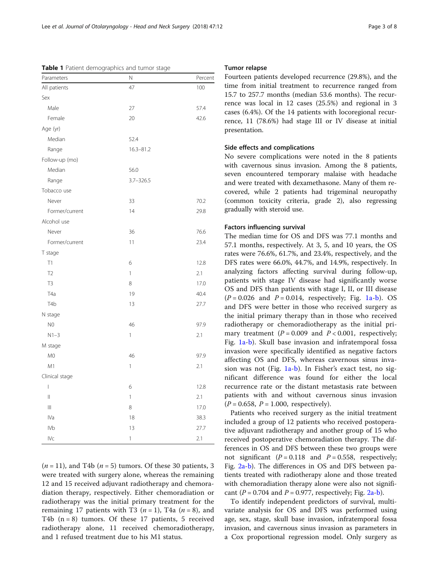$(n = 11)$ , and T4b  $(n = 5)$  tumors. Of these 30 patients, 3 were treated with surgery alone, whereas the remaining 12 and 15 received adjuvant radiotherapy and chemoradiation therapy, respectively. Either chemoradiation or radiotherapy was the initial primary treatment for the remaining 17 patients with T3 ( $n = 1$ ), T4a ( $n = 8$ ), and T4b  $(n = 8)$  tumors. Of these 17 patients, 5 received radiotherapy alone, 11 received chemoradiotherapy, and 1 refused treatment due to his M1 status.

The median time for OS and DFS was 77.1 months and 57.1 months, respectively. At 3, 5, and 10 years, the OS rates were 76.6%, 61.7%, and 23.4%, respectively, and the DFS rates were 66.0%, 44.7%, and 14.9%, respectively. In analyzing factors affecting survival during follow-up, patients with stage IV disease had significantly worse OS and DFS than patients with stage I, II, or III disease  $(P = 0.026$  and  $P = 0.014$ , respectively; Fig. [1a-b](#page-3-0)). OS and DFS were better in those who received surgery as the initial primary therapy than in those who received radiotherapy or chemoradiotherapy as the initial primary treatment ( $P = 0.009$  and  $P < 0.001$ , respectively; Fig. [1a](#page-3-0)-[b](#page-3-0)). Skull base invasion and infratemporal fossa invasion were specifically identified as negative factors affecting OS and DFS, whereas cavernous sinus invasion was not (Fig. [1a](#page-3-0)-[b](#page-3-0)). In Fisher's exact test, no significant difference was found for either the local recurrence rate or the distant metastasis rate between patients with and without cavernous sinus invasion

# Side effects and complications

Tumor relapse

presentation.

No severe complications were noted in the 8 patients with cavernous sinus invasion. Among the 8 patients, seven encountered temporary malaise with headache and were treated with dexamethasone. Many of them recovered, while 2 patients had trigeminal neuropathy (common toxicity criteria, grade 2), also regressing gradually with steroid use.

Fourteen patients developed recurrence (29.8%), and the time from initial treatment to recurrence ranged from 15.7 to 257.7 months (median 53.6 months). The recurrence was local in 12 cases (25.5%) and regional in 3 cases (6.4%). Of the 14 patients with locoregional recurrence, 11 (78.6%) had stage III or IV disease at initial

## Factors influencing survival

 $(P = 0.658, P = 1.000, respectively).$ Patients who received surgery as the initial treatment included a group of 12 patients who received postoperative adjuvant radiotherapy and another group of 15 who received postoperative chemoradiation therapy. The differences in OS and DFS between these two groups were not significant ( $P = 0.118$  and  $P = 0.558$ , respectively; Fig. [2a-b](#page-3-0)). The differences in OS and DFS between pa-

cant ( $P = 0.704$  and  $P = 0.977$ , respectively; Fig. [2a-b](#page-3-0)). To identify independent predictors of survival, multivariate analysis for OS and DFS was performed using age, sex, stage, skull base invasion, infratemporal fossa invasion, and cavernous sinus invasion as parameters in a Cox proportional regression model. Only surgery as

tients treated with radiotherapy alone and those treated with chemoradiation therapy alone were also not signifi-

<span id="page-2-0"></span>Table 1 Patient demographics and tumor stage

| Parameters                     | Ν             | Percent<br>100 |  |  |
|--------------------------------|---------------|----------------|--|--|
| All patients                   | 47            |                |  |  |
| Sex                            |               |                |  |  |
| Male                           | 27            | 57.4           |  |  |
| Female                         | 20            | 42.6           |  |  |
| Age (yr)                       |               |                |  |  |
| Median                         | 52.4          |                |  |  |
| Range                          | $16.3 - 81.2$ |                |  |  |
| Follow-up (mo)                 |               |                |  |  |
| Median                         | 56.0          |                |  |  |
| Range                          | $3.7 - 326.5$ |                |  |  |
| Tobacco use                    |               |                |  |  |
| Never                          | 33            | 70.2           |  |  |
| Former/current                 | 14            | 29.8           |  |  |
| Alcohol use                    |               |                |  |  |
| Never                          | 36            | 76.6           |  |  |
| Former/current                 | 11            | 23.4           |  |  |
| T stage                        |               |                |  |  |
| T1                             | 6             | 12.8           |  |  |
| T <sub>2</sub>                 | $\mathbf{1}$  | 2.1            |  |  |
| T <sub>3</sub>                 | 8             | 17.0           |  |  |
| T4a                            | 19            | 40.4           |  |  |
| T <sub>4</sub> b               | 13            | 27.7           |  |  |
| N stage                        |               |                |  |  |
| N <sub>0</sub>                 | 46            | 97.9           |  |  |
| $N1-3$                         | $\mathbf{1}$  | 2.1            |  |  |
| M stage                        |               |                |  |  |
| M <sub>0</sub>                 | 46            | 97.9           |  |  |
| M1                             | $\mathbf{1}$  | 2.1            |  |  |
| Clinical stage                 |               |                |  |  |
| $\begin{array}{c} \end{array}$ | 6             | 12.8           |  |  |
| $\mathbf{  }$                  | $\mathbf{1}$  | 2.1            |  |  |
| $\mathbb{H}$                   | 8             | 17.0           |  |  |
| IVa                            | 18            | 38.3           |  |  |
| IV <sub>b</sub>                | 13            | 27.7           |  |  |
| <b>IVc</b>                     | $\mathbf{1}$  | 2.1            |  |  |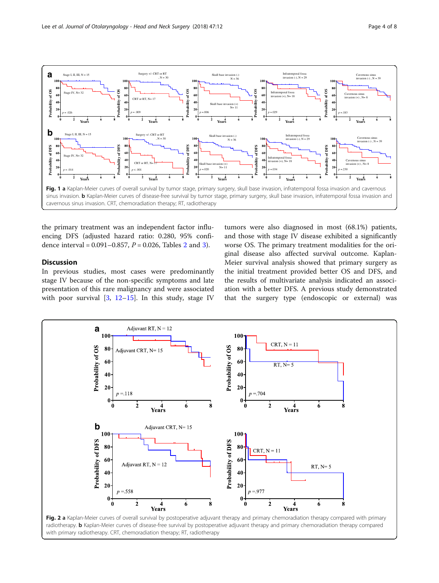<span id="page-3-0"></span>

the primary treatment was an independent factor influencing DFS (adjusted hazard ratio: 0.280, 95% confidence interval =  $0.091 - 0.857$ ,  $P = 0.026$  $P = 0.026$  $P = 0.026$ , Tables 2 and [3\)](#page-5-0).

## **Discussion**

In previous studies, most cases were predominantly stage IV because of the non-specific symptoms and late presentation of this rare malignancy and were associated with poor survival  $[3, 12-15]$  $[3, 12-15]$  $[3, 12-15]$  $[3, 12-15]$  $[3, 12-15]$  $[3, 12-15]$ . In this study, stage IV

tumors were also diagnosed in most (68.1%) patients, and those with stage IV disease exhibited a significantly worse OS. The primary treatment modalities for the original disease also affected survival outcome. Kaplan-Meier survival analysis showed that primary surgery as the initial treatment provided better OS and DFS, and the results of multivariate analysis indicated an association with a better DFS. A previous study demonstrated that the surgery type (endoscopic or external) was

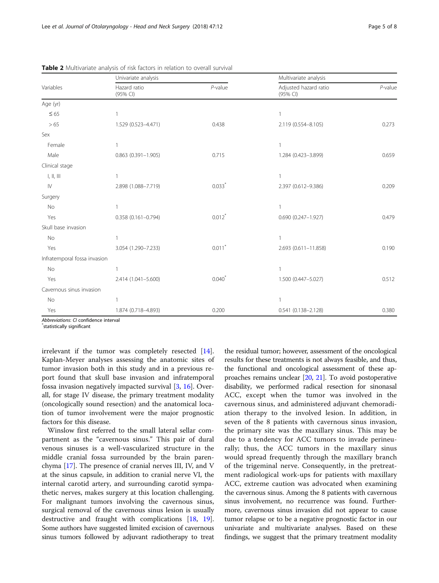|                                             | Univariate analysis      |                      | Multivariate analysis             |            |  |  |  |
|---------------------------------------------|--------------------------|----------------------|-----------------------------------|------------|--|--|--|
| Variables                                   | Hazard ratio<br>(95% CI) | $P$ -value           | Adjusted hazard ratio<br>(95% CI) | $P$ -value |  |  |  |
| Age (yr)                                    |                          |                      |                                   |            |  |  |  |
| $\leq 65$                                   | 1                        |                      | 1                                 |            |  |  |  |
| > 65                                        | 1.529 (0.523-4.471)      | 0.438                | 2.119 (0.554-8.105)               | 0.273      |  |  |  |
| Sex                                         |                          |                      |                                   |            |  |  |  |
| Female                                      | 1                        |                      | $\mathbf{1}$                      |            |  |  |  |
| Male                                        | $0.863(0.391 - 1.905)$   | 0.715                | 1.284 (0.423-3.899)               | 0.659      |  |  |  |
| Clinical stage                              |                          |                      |                                   |            |  |  |  |
| $\parallel, \parallel, \parallel \parallel$ | 1                        |                      | $\mathbf{1}$                      |            |  |  |  |
| $\mathsf{I}\mathsf{V}$                      | 2.898 (1.088-7.719)      | $0.033*$             | 2.397 (0.612-9.386)               | 0.209      |  |  |  |
| Surgery                                     |                          |                      |                                   |            |  |  |  |
| No                                          | $\mathbf{1}$             |                      | $\mathbf{1}$                      |            |  |  |  |
| Yes                                         | 0.358 (0.161-0.794)      | $0.012$ <sup>*</sup> | $0.690(0.247 - 1.927)$            | 0.479      |  |  |  |
| Skull base invasion                         |                          |                      |                                   |            |  |  |  |
| No                                          | 1                        |                      | $\mathbf{1}$                      |            |  |  |  |
| Yes                                         | 3.054 (1.290-7.233)      | $0.011$ <sup>*</sup> | 2.693 (0.611-11.858)              | 0.190      |  |  |  |
| Infratemporal fossa invasion                |                          |                      |                                   |            |  |  |  |
| No                                          | $\mathbf{1}$             |                      | $\mathbf{1}$                      |            |  |  |  |
| Yes                                         | 2.414 (1.041-5.600)      | $0.040^{*}$          | 1.500 (0.447-5.027)               | 0.512      |  |  |  |
| Cavernous sinus invasion                    |                          |                      |                                   |            |  |  |  |
| No                                          |                          |                      | $\mathbf{1}$                      |            |  |  |  |
| Yes                                         | 1.874 (0.718-4.893)      | 0.200                | $0.541(0.138 - 2.128)$            | 0.380      |  |  |  |

<span id="page-4-0"></span>**Table 2** Multivariate analysis of risk factors in relation to overall survival

Abbreviations: CI confidence interval

statistically significant

irrelevant if the tumor was completely resected [\[14](#page-6-0)]. Kaplan-Meyer analyses assessing the anatomic sites of tumor invasion both in this study and in a previous report found that skull base invasion and infratemporal fossa invasion negatively impacted survival [[3](#page-6-0), [16\]](#page-6-0). Overall, for stage IV disease, the primary treatment modality (oncologically sound resection) and the anatomical location of tumor involvement were the major prognostic factors for this disease.

Winslow first referred to the small lateral sellar compartment as the "cavernous sinus." This pair of dural venous sinuses is a well-vascularized structure in the middle cranial fossa surrounded by the brain parenchyma [[17](#page-7-0)]. The presence of cranial nerves III, IV, and V at the sinus capsule, in addition to cranial nerve VI, the internal carotid artery, and surrounding carotid sympathetic nerves, makes surgery at this location challenging. For malignant tumors involving the cavernous sinus, surgical removal of the cavernous sinus lesion is usually destructive and fraught with complications [[18,](#page-7-0) [19](#page-7-0)]. Some authors have suggested limited excision of cavernous sinus tumors followed by adjuvant radiotherapy to treat

the residual tumor; however, assessment of the oncological results for these treatments is not always feasible, and thus, the functional and oncological assessment of these approaches remains unclear [[20](#page-7-0), [21](#page-7-0)]. To avoid postoperative disability, we performed radical resection for sinonasal ACC, except when the tumor was involved in the cavernous sinus, and administered adjuvant chemoradiation therapy to the involved lesion. In addition, in seven of the 8 patients with cavernous sinus invasion, the primary site was the maxillary sinus. This may be due to a tendency for ACC tumors to invade perineurally; thus, the ACC tumors in the maxillary sinus would spread frequently through the maxillary branch of the trigeminal nerve. Consequently, in the pretreatment radiological work-ups for patients with maxillary ACC, extreme caution was advocated when examining the cavernous sinus. Among the 8 patients with cavernous sinus involvement, no recurrence was found. Furthermore, cavernous sinus invasion did not appear to cause tumor relapse or to be a negative prognostic factor in our univariate and multivariate analyses. Based on these findings, we suggest that the primary treatment modality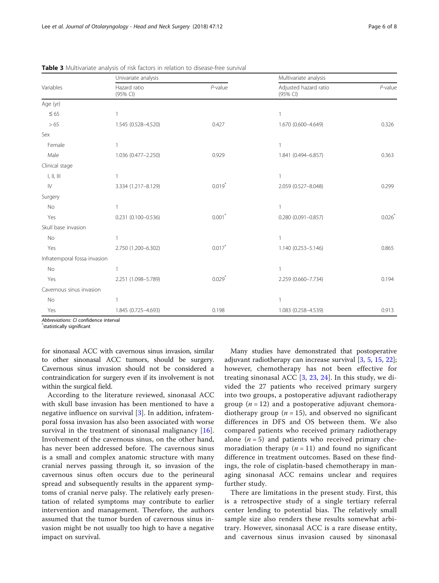|                                             | Univariate analysis      |                      | Multivariate analysis             |            |  |  |  |
|---------------------------------------------|--------------------------|----------------------|-----------------------------------|------------|--|--|--|
| Variables                                   | Hazard ratio<br>(95% CI) | $P$ -value           | Adjusted hazard ratio<br>(95% CI) | $P$ -value |  |  |  |
| Age (yr)                                    |                          |                      |                                   |            |  |  |  |
| $\leq 65$                                   |                          |                      | 1                                 |            |  |  |  |
| > 65                                        | 1.545 (0.528-4.520)      | 0.427                | 1.670 (0.600-4.649)               | 0.326      |  |  |  |
| Sex                                         |                          |                      |                                   |            |  |  |  |
| Female                                      | 1                        |                      | $\mathbf{1}$                      |            |  |  |  |
| Male                                        | 1.036 (0.477-2.250)      | 0.929                | 1.841 (0.494-6.857)               | 0.363      |  |  |  |
| Clinical stage                              |                          |                      |                                   |            |  |  |  |
| $\parallel, \parallel, \parallel \parallel$ |                          |                      | $\mathbf{1}$                      |            |  |  |  |
| $\mathsf{IV}$                               | 3.334 (1.217-8.129)      | $0.019^{*}$          | 2.059 (0.527-8.048)               | 0.299      |  |  |  |
| Surgery                                     |                          |                      |                                   |            |  |  |  |
| No                                          |                          |                      | $\mathbf{1}$                      |            |  |  |  |
| Yes                                         | 0.231 (0.100-0.536)      | $0.001*$             | $0.280(0.091 - 0.857)$            | $0.026*$   |  |  |  |
| Skull base invasion                         |                          |                      |                                   |            |  |  |  |
| No                                          |                          |                      | $\mathbf{1}$                      |            |  |  |  |
| Yes                                         | 2.750 (1.200-6.302)      | $0.017$ *            | 1.140 (0.253-5.146)               | 0.865      |  |  |  |
| Infratemporal fossa invasion                |                          |                      |                                   |            |  |  |  |
| No                                          | $\mathbf{1}$             |                      | $\mathbf{1}$                      |            |  |  |  |
| Yes                                         | 2.251 (1.098-5.789)      | $0.029$ <sup>*</sup> | 2.259 (0.660-7.734)               | 0.194      |  |  |  |
| Cavernous sinus invasion                    |                          |                      |                                   |            |  |  |  |
| No                                          |                          |                      | 1                                 |            |  |  |  |
| Yes                                         | 1.845 (0.725-4.693)      | 0.198                | 1.083 (0.258-4.539)               | 0.913      |  |  |  |

<span id="page-5-0"></span>

|  |  |  |  |  |  |  |  |  |  | <b>Table 3</b> Multivariate analysis of risk factors in relation to disease-free survival |  |
|--|--|--|--|--|--|--|--|--|--|-------------------------------------------------------------------------------------------|--|
|--|--|--|--|--|--|--|--|--|--|-------------------------------------------------------------------------------------------|--|

Abbreviations: CI confidence interval

statistically significant

for sinonasal ACC with cavernous sinus invasion, similar to other sinonasal ACC tumors, should be surgery. Cavernous sinus invasion should not be considered a contraindication for surgery even if its involvement is not within the surgical field.

According to the literature reviewed, sinonasal ACC with skull base invasion has been mentioned to have a negative influence on survival [[3\]](#page-6-0). In addition, infratemporal fossa invasion has also been associated with worse survival in the treatment of sinonasal malignancy [\[16](#page-6-0)]. Involvement of the cavernous sinus, on the other hand, has never been addressed before. The cavernous sinus is a small and complex anatomic structure with many cranial nerves passing through it, so invasion of the cavernous sinus often occurs due to the perineural spread and subsequently results in the apparent symptoms of cranial nerve palsy. The relatively early presentation of related symptoms may contribute to earlier intervention and management. Therefore, the authors assumed that the tumor burden of cavernous sinus invasion might be not usually too high to have a negative impact on survival.

Many studies have demonstrated that postoperative adjuvant radiotherapy can increase survival [\[3](#page-6-0), [5](#page-6-0), [15](#page-6-0), [22](#page-7-0)]; however, chemotherapy has not been effective for treating sinonasal ACC [\[3](#page-6-0), [23,](#page-7-0) [24](#page-7-0)]. In this study, we divided the 27 patients who received primary surgery into two groups, a postoperative adjuvant radiotherapy group ( $n = 12$ ) and a postoperative adjuvant chemoradiotherapy group ( $n = 15$ ), and observed no significant differences in DFS and OS between them. We also compared patients who received primary radiotherapy alone  $(n = 5)$  and patients who received primary chemoradiation therapy  $(n = 11)$  and found no significant difference in treatment outcomes. Based on these findings, the role of cisplatin-based chemotherapy in managing sinonasal ACC remains unclear and requires further study.

There are limitations in the present study. First, this is a retrospective study of a single tertiary referral center lending to potential bias. The relatively small sample size also renders these results somewhat arbitrary. However, sinonasal ACC is a rare disease entity, and cavernous sinus invasion caused by sinonasal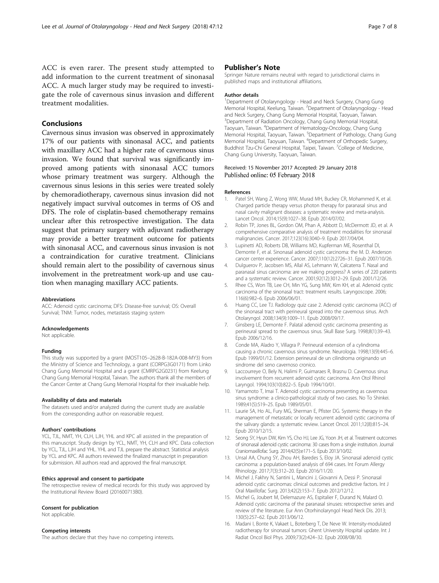<span id="page-6-0"></span>ACC is even rarer. The present study attempted to add information to the current treatment of sinonasal ACC. A much larger study may be required to investigate the role of cavernous sinus invasion and different treatment modalities.

## Conclusions

Cavernous sinus invasion was observed in approximately 17% of our patients with sinonasal ACC, and patients with maxillary ACC had a higher rate of cavernous sinus invasion. We found that survival was significantly improved among patients with sinonasal ACC tumors whose primary treatment was surgery. Although the cavernous sinus lesions in this series were treated solely by chemoradiotherapy, cavernous sinus invasion did not negatively impact survival outcomes in terms of OS and DFS. The role of cisplatin-based chemotherapy remains unclear after this retrospective investigation. The data suggest that primary surgery with adjuvant radiotherapy may provide a better treatment outcome for patients with sinonasal ACC, and cavernous sinus invasion is not a contraindication for curative treatment. Clinicians should remain alert to the possibility of cavernous sinus involvement in the pretreatment work-up and use caution when managing maxillary ACC patients.

#### Abbreviations

ACC: Adenoid cystic carcinoma; DFS: Disease-free survival; OS: Overall Survival; TNM: Tumor, nodes, metastasis staging system

#### Acknowledgements

Not applicable.

## Funding

This study was supported by a grant (MOST105–2628-B-182A-008-MY3) from the Ministry of Science and Technology, a grant (CORPG3G0171) from Linko Chang Gung Memorial Hospital and a grant (CMRPG2G0231) from Keelung Chang Gung Memorial Hospital, Taiwan. The authors thank all the members of the Cancer Center at Chang Gung Memorial Hospital for their invaluable help.

#### Availability of data and materials

The datasets used and/or analyzed during the current study are available from the corresponding author on reasonable request.

### Authors' contributions

YCL, TJL, NMT, YH, CLH, LJH, YHL and KPC all assisted in the preparation of this manuscript. Study design by YCL, NMT, YH, CLH and KPC. Data collection by YCL, TJL, LJH and YHL. YHL and TJL prepare the abstract. Statistical analysis by YCL and KPC. All authors reviewed the finalized manuscript in preparation for submission. All authors read and approved the final manuscript.

#### Ethics approval and consent to participate

The retrospective review of medical records for this study was approved by the Institutional Review Board (201600713B0).

#### Consent for publication

Not applicable.

## Competing interests

The authors declare that they have no competing interests.

## Publisher's Note

Springer Nature remains neutral with regard to jurisdictional claims in published maps and institutional affiliations.

#### Author details

<sup>1</sup>Department of Otolaryngology - Head and Neck Surgery, Chang Gung Memorial Hospital, Keelung, Taiwan. <sup>2</sup> Department of Otolaryngology - Head and Neck Surgery, Chang Gung Memorial Hospital, Taoyuan, Taiwan. 3 Department of Radiation Oncology, Chang Gung Memorial Hospital, Taoyuan, Taiwan. <sup>4</sup>Department of Hematology-Oncology, Chang Gung Memorial Hospital, Taoyuan, Taiwan. <sup>5</sup>Department of Pathology, Chang Gung Memorial Hospital, Taoyuan, Taiwan. <sup>6</sup>Department of Orthopedic Surgery, Buddhist Tzu-Chi General Hospital, Taipei, Taiwan. <sup>7</sup>College of Medicine Chang Gung University, Taoyuan, Taiwan.

## Received: 15 November 2017 Accepted: 29 January 2018 Published online: 05 February 2018

#### References

- 1. Patel SH, Wang Z, Wong WW, Murad MH, Buckey CR, Mohammed K, et al. Charged particle therapy versus photon therapy for paranasal sinus and nasal cavity malignant diseases: a systematic review and meta-analysis. Lancet Oncol. 2014;15(9):1027–38. Epub 2014/07/02.
- 2. Robin TP, Jones BL, Gordon OM, Phan A, Abbott D, McDermott JD, et al. A comprehensive comparative analysis of treatment modalities for sinonasal malignancies. Cancer. 2017;123(16):3040–9. Epub 2017/04/04.
- 3. Lupinetti AD, Roberts DB, Williams MD, Kupferman ME, Rosenthal DI, Demonte F, et al. Sinonasal adenoid cystic carcinoma: the M. D. Anderson cancer center experience. Cancer. 2007;110(12):2726–31. Epub 2007/10/26.
- 4. Dulguerov P, Jacobsen MS, Allal AS, Lehmann W, Calcaterra T. Nasal and paranasal sinus carcinoma: are we making progress? A series of 220 patients and a systematic review. Cancer. 2001;92(12):3012–29. Epub 2001/12/26.
- 5. Rhee CS, Won TB, Lee CH, Min YG, Sung MW, Kim KH, et al. Adenoid cystic carcinoma of the sinonasal tract: treatment results. Laryngoscope. 2006; 116(6):982–6. Epub 2006/06/01.
- 6. Huang CC, Lee TJ. Radiology quiz case 2. Adenoid cystic carcinoma (ACC) of the sinonasal tract with perineural spread into the cavernous sinus. Arch Otolaryngol. 2008;134(9):1009–11. Epub 2008/09/17.
- 7. Ginsberg LE, Demonte F. Palatal adenoid cystic carcinoma presenting as perineural spread to the cavernous sinus. Skull Base Surg. 1998;8(1):39–43. Epub 2006/12/16.
- 8. Conde MA, Aladro Y, Villagra P. Perineural extension of a cylindroma causing a chronic cavernous sinus syndrome. Neurologia. 1998;13(9):445–6. Epub 1999/01/12. Extension perineural de un cilindroma originando un sindrome del seno cavernoso cronico.
- 9. Laccourreye O, Bely N, Halimi P, Guimaraes R, Brasnu D. Cavernous sinus involvement from recurrent adenoid cystic carcinoma. Ann Otol Rhinol Laryngol. 1994;103(10):822–5. Epub 1994/10/01.
- 10. Yamamoto T, Imai T. Adenoid cystic carcinoma presenting as cavernous sinus syndrome: a clinico-pathological study of two cases. No To Shinkei. 1989;41(5):519–25. Epub 1989/05/01.
- 11. Laurie SA, Ho AL, Fury MG, Sherman E, Pfister DG. Systemic therapy in the management of metastatic or locally recurrent adenoid cystic carcinoma of the salivary glands: a systematic review. Lancet Oncol. 2011;12(8):815–24. Epub 2010/12/15.
- 12. Seong SY, Hyun DW, Kim YS, Cho HJ, Lee JG, Yoon JH, et al. Treatment outcomes of sinonasal adenoid cystic carcinoma: 30 cases from a single institution. Journal Craniomaxillofac Surg. 2014;42(5):e171–5. Epub 2013/10/02.
- 13. Unsal AA, Chung SY, Zhou AH, Baredes S, Eloy JA. Sinonasal adenoid cystic carcinoma: a population-based analysis of 694 cases. Int Forum Allergy Rhinology. 2017;7(3):312–20. Epub 2016/11/20.
- 14. Michel J, Fakhry N, Santini L, Mancini J, Giovanni A, Dessi P. Sinonasal adenoid cystic carcinomas: clinical outcomes and predictive factors. Int J Oral Maxillofac Surg. 2013;42(2):153–7. Epub 2012/12/12.
- 15. Michel G, Joubert M, Delemazure AS, Espitalier F, Durand N, Malard O. Adenoid cystic carcinoma of the paranasal sinuses: retrospective series and review of the literature. Eur Ann Otorhinolaryngol Head Neck Dis. 2013; 130(5):257–62. Epub 2013/06/12.
- 16. Madani I, Bonte K, Vakaet L, Boterberg T, De Neve W. Intensity-modulated radiotherapy for sinonasal tumors: Ghent University Hospital update. Int J Radiat Oncol Biol Phys. 2009;73(2):424–32. Epub 2008/08/30.